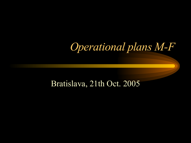# *Operational plans M-F*

#### Bratislava, 21th Oct. 2005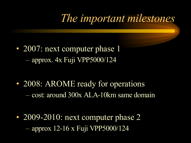## *The important milestones*

• 2007: next computer phase 1  $-$  approx.  $4x$  Fuji VPP5000/124

• 2008: AROME ready for operations – cost: around 300x ALA-10km same domain

• 2009-2010: next computer phase 2 – approx 12-16 x Fuji VPP5000/124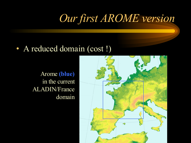## *Our first AROME version*

#### • A reduced domain (cost!)

Arome **(blue)** in the current ALADIN/France domain

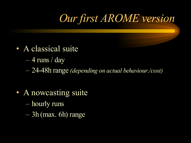# *Our first AROME version*

- A classical suite
	- $-4$  runs / day
	- 24-48h range *(depending on actual behaviour./cost)*
- A nowcasting suite
	- hourly runs
	- 3h (max. 6h) range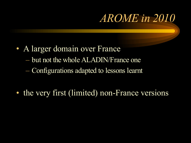## *AROME in 2010*

- A larger domain over France
	- but not the whole ALADIN/France one
	- Configurations adapted to lessons learnt
- the very first (limited) non-France versions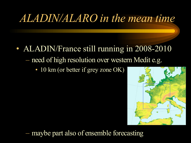## *ALADIN/ALARO in the mean time*

- ALADIN/France still running in 2008-2010 – need of high resolution over western Medit e.g.
	- 10 km (or better if grey zone OK)



– maybe part also of ensemble forecasting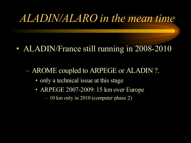### *ALADIN/ALARO in the mean time*

#### • ALADIN/France still running in 2008-2010

– AROME coupled to ARPEGE or ALADIN ?.

- only a technical issue at this stage
- ARPEGE 2007-2009: 15 km over Europe

– 10 km only in 2010 (computer phase 2)